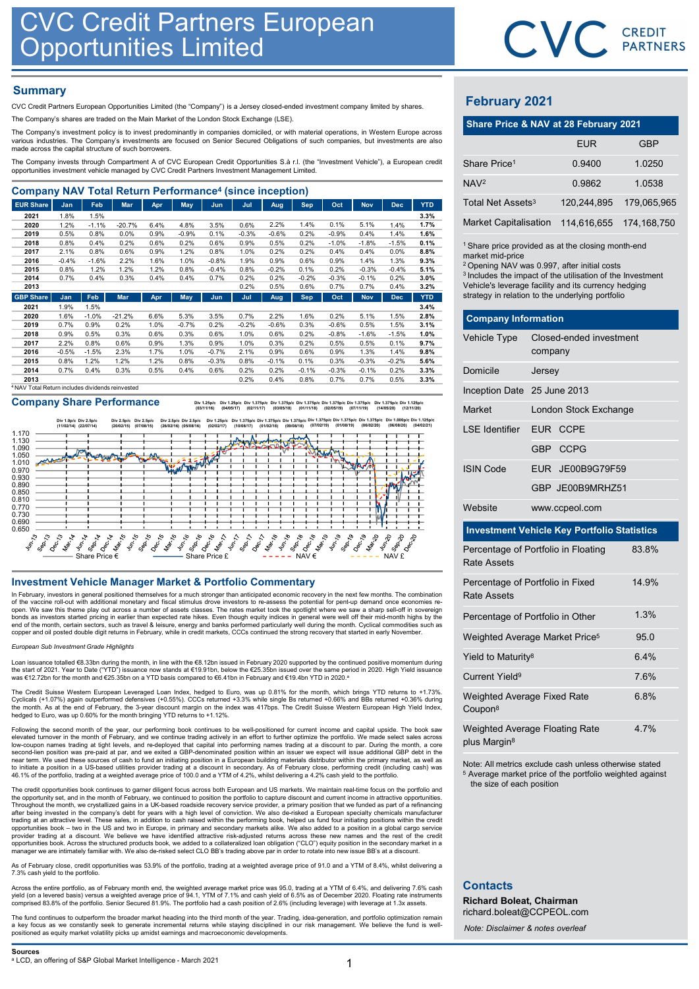# **Summary**

| <b>CVC Credit Partners European</b><br>Opportunities Limited                                                                                                                                                                                                                    |                 |                 |              |              |              |                    |              |                 |                 |                 |                 |                 |              |                                                                  |         | <b>CVC</b> CRI          |             |
|---------------------------------------------------------------------------------------------------------------------------------------------------------------------------------------------------------------------------------------------------------------------------------|-----------------|-----------------|--------------|--------------|--------------|--------------------|--------------|-----------------|-----------------|-----------------|-----------------|-----------------|--------------|------------------------------------------------------------------|---------|-------------------------|-------------|
| <b>Summary</b><br>CVC Credit Partners European Opportunities Limited (the "Company") is a Jersey closed-ended investment company limited by shares.<br>The Company's shares are traded on the Main Market of the London Stock Exchange (LSE).                                   |                 |                 |              |              |              |                    |              |                 |                 |                 |                 |                 |              | <b>February 2021</b><br>Share Price & NAV at 28 February 2021    |         |                         |             |
| The Company's investment policy is to invest predominantly in companies domiciled, or with material operations, in Western Europe across<br>various industries. The Company's investments are focused on Senior Secured Obligations of such companies, but investments are also |                 |                 |              |              |              |                    |              |                 |                 |                 |                 |                 |              |                                                                  |         | <b>EUR</b>              |             |
| made across the capital structure of such borrowers.<br>The Company invests through Compartment A of CVC European Credit Opportunities S.à r.l. (the "Investment Vehicle"), a European credit                                                                                   |                 |                 |              |              |              |                    |              |                 |                 |                 |                 |                 |              | Share Price <sup>1</sup>                                         |         | 0.9400                  | 1.          |
| opportunities investment vehicle managed by CVC Credit Partners Investment Management Limited.                                                                                                                                                                                  |                 |                 |              |              |              |                    |              |                 |                 |                 |                 |                 |              |                                                                  |         |                         |             |
| <b>Company NAV Total Return Performance<sup>4</sup> (since inception)</b>                                                                                                                                                                                                       |                 |                 |              |              |              |                    |              |                 |                 |                 |                 |                 |              | NAV <sup>2</sup>                                                 |         | 0.9862                  | $\mathbf 1$ |
| <b>EUR Share</b>                                                                                                                                                                                                                                                                | Jan             | Feb             | Mar          | Apr          | May          | Jun                | Jul          | Aug             | Sep             | Oct             | <b>Nov</b>      | <b>Dec</b>      | <b>YTD</b>   | Total Net Assets <sup>3</sup>                                    |         | 120,244,895             | 179         |
| 2021                                                                                                                                                                                                                                                                            | 1.8%            | 1.5%            |              |              |              |                    |              |                 |                 |                 |                 |                 | 3.3%         |                                                                  |         |                         |             |
| 2020                                                                                                                                                                                                                                                                            | 1.2%            | $-1.1%$         | $-20.7%$     | 6.4%         | 4.8%         | 3.5%               | 0.6%         | 2.2%            | 1.4%            | 0.1%            | 5.1%            | 1.4%            | 1.7%         | <b>Market Capitalisation</b>                                     |         | 114,616,655             | 174.        |
| 2019                                                                                                                                                                                                                                                                            | 0.5%            | 0.8%            | 0.0%         | 0.9%         | $-0.9%$      | 0.1%               | $-0.3%$      | $-0.6%$         | 0.2%            | $-0.9%$         | 0.4%            | 1.4%            | 1.6%         |                                                                  |         |                         |             |
| 2018                                                                                                                                                                                                                                                                            | 0.8%            | 0.4%            | 0.2%         | 0.6%         | 0.2%         | 0.6%               | 0.9%         | 0.5%            | 0.2%            | $-1.0%$         | $-1.8%$         | $-1.5%$         | 0.1%         | <sup>1</sup> Share price provided as at the closing month-en     |         |                         |             |
| 2017                                                                                                                                                                                                                                                                            | 2.1%            | 0.8%            | 0.6%         | 0.9%         | 1.2%         | 0.8%               | 1.0%         | 0.2%            | 0.2%            | 0.4%            | 0.4%            | 0.0%            | 8.8%         | market mid-price                                                 |         |                         |             |
| 2016<br>2015                                                                                                                                                                                                                                                                    | $-0.4%$<br>0.8% | $-1.6%$<br>1.2% | 2.2%<br>1.2% | 1.6%<br>1.2% | 1.0%<br>0.8% | $-0.8%$<br>$-0.4%$ | 1.9%<br>0.8% | 0.9%<br>$-0.2%$ | 0.6%<br>0.1%    | 0.9%<br>0.2%    | 1.4%<br>$-0.3%$ | 1.3%<br>$-0.4%$ | 9.3%<br>5.1% | <sup>2</sup> Opening NAV was 0.997, after initial costs          |         |                         |             |
| 2014                                                                                                                                                                                                                                                                            | 0.7%            | 0.4%            | 0.3%         | 0.4%         | 0.4%         | 0.7%               | 0.2%         | 0.2%            | $-0.2%$         | $-0.3%$         | $-0.1%$         | 0.2%            | 3.0%         | <sup>3</sup> Includes the impact of the utilisation of the Inves |         |                         |             |
| 2013                                                                                                                                                                                                                                                                            |                 |                 |              |              |              |                    | 0.2%         | 0.5%            | 0.6%            | 0.7%            | 0.7%            | 0.4%            | 3.2%         | Vehicle's leverage facility and its currency hedgin              |         |                         |             |
| <b>GBP Share</b>                                                                                                                                                                                                                                                                | Jan             | Feb             | Mar          | Apr          | <b>May</b>   | Jun                | Jul          | Aug             | <b>Sep</b>      | Oct             | <b>Nov</b>      | <b>Dec</b>      | <b>YTD</b>   | strategy in relation to the underlying portfolio                 |         |                         |             |
| 2021                                                                                                                                                                                                                                                                            | 1.9%            | 1.5%            |              |              |              |                    |              |                 |                 |                 |                 |                 | 3.4%         |                                                                  |         |                         |             |
| 2020                                                                                                                                                                                                                                                                            | 1.6%            | $-1.0%$         | $-21.2%$     | 6.6%         | 5.3%         | 3.5%               | 0.7%         | 2.2%            | 1.6%            | 0.2%            | 5.1%            | 1.5%            | 2.8%         | <b>Company Information</b>                                       |         |                         |             |
| 2019                                                                                                                                                                                                                                                                            | 0.7%            | 0.9%            | 0.2%         | 1.0%         | $-0.7%$      | 0.2%               | $-0.2%$      | $-0.6%$         | 0.3%            | $-0.6%$         | 0.5%            | 1.5%            | 3.1%         |                                                                  |         |                         |             |
| 2018                                                                                                                                                                                                                                                                            | 0.9%            | 0.5%            | 0.3%         | 0.6%         | 0.3%         | 0.6%               | 1.0%         | 0.6%            | 0.2%            | $-0.8%$         | $-1.6%$         | $-1.5%$         | 1.0%         | Vehicle Type                                                     |         | Closed-ended investment |             |
| 2017                                                                                                                                                                                                                                                                            | 2.2%            | 0.8%            | 0.6%         | 0.9%         | 1.3%         | 0.9%               | 1.0%         | 0.3%            | 0.2%            | 0.5%            | 0.5%            | 0.1%            | 9.7%         |                                                                  |         |                         |             |
|                                                                                                                                                                                                                                                                                 | $-0.5%$         | $-1.5%$         | 2.3%         | 1.7%         | 1.0%         | $-0.7%$            | 2.1%         | 0.9%            | 0.6%            | 0.9%            | 1.3%            | 1.4%            | 9.8%         |                                                                  | company |                         |             |
| 2016                                                                                                                                                                                                                                                                            |                 |                 |              |              |              |                    |              |                 |                 |                 |                 |                 |              |                                                                  |         |                         |             |
| 2015                                                                                                                                                                                                                                                                            | 0.8%            | 1.2%            | 1.2%         | 1.2%         | 0.8%         | $-0.3%$            | 0.8%         | $-0.1%$         | 0.1%            | 0.3%            | $-0.3%$         | $-0.2%$         | 5.6%         |                                                                  |         |                         |             |
| 2014<br>2013                                                                                                                                                                                                                                                                    | 0.7%            | 0.4%            | 0.3%         | 0.5%         | 0.4%         | 0.6%               | 0.2%<br>0.2% | 0.2%<br>0.4%    | $-0.1%$<br>0.8% | $-0.3%$<br>0.7% | $-0.1%$<br>0.7% | 0.2%<br>0.5%    | 3.3%<br>3.3% | Domicile                                                         | Jersey  |                         |             |

Company Share Performance **but 125plc** Div 1.375plc Div 1.375plc Div 1.375plc Div 1.375plc Div 1.375plc Div 1.375plc Div 1.375plc Div 1.375plc Div 1.375plc Div 1.375plc Div 1.375plc Div 1.375plc Div 1.375plc Div 1.375plc D



In February, investors in general positioned themselves for a much stronger than anticipated economic recovery in the next few months. The combination<br>of the vaccine roll-out with additional monetary and fiscal stimulus dr end of the month, certain sectors, such as travel & leisure, energy and banks performed particularly well during the month. Cyclical commodities such as<br>copper and oil posted double digit returns in February, while in cred

### European Sub Investment Grade Highlights

Loan issuance totalled €8.33bn during the month, in line with the €8.12bn issued in February 2020 supported by the continued positive momentum during<br>the start of 2021. Year to Date ("YTD") issuance now stands at €19.91bn was €12.72bn for the month and €25.35bn on a YTD basis compared to €6.41bn in February and €19.4bn YTD in 2020.<sup>a</sup>

The Credit Suisse Western European Leveraged Loan Index, hedged to Euro, was up 0.81% for the month, which brings YTD returns to +1.73%.<br>Cyclicals (+1.07%) again outperformed defensives (+0.55%). CCCs returned +3.3% while the month. As at the end of February, the 3-year discount margin on the index was 417bps. The Credit Suisse Western European High Yield Index, hedged to Euro, was up 0.60% for the month bringing YTD returns to +1.12%.

Following the second month of the year, our performing book continues to be well-positioned for current income and capital upside. The book saw elevated turnover in the month of February, and we continue trading actively in an effort to further optimize the portfolio. We made select sales across<br>low-coupon names trading at tight levels, and re-deployed that capita near term. We used these sources of cash to fund an initiating position in a European building materials distributor within the primary market, as well as<br>to initiate a position in a US-based utilities provider trading at

The credit opportunities book continues to garner diligent focus across both European and US markets. We maintain real-time focus on the portfolio and<br>the opportunity set, and in the month of February, we continued to posi after being invested in the company's debt for years with a high level of conviction. We also de-risked a European specialty chemicals manufacturer<br>trading at an attractive level. These sales, in addition to cash raised wi provider trading at a discount. We believe we have identified attractive risk-adjusted returns across these new names and the rest of the credit<br>opportunities book. Across the structured products book, we added to a collat

As of February close, credit opportunities was 53.9% of the portfolio, trading at a weighted average price of 91.0 and a YTM of 8.4%, whilst delivering a<br>7.3% cash yield to the portfolio.

Across the entire portfolio, as of February month end, the weighted average market price was 95.0, trading at a YTM of 6.4%, and delivering 7.6% cash<br>yield (on a levered basis) versus a weighted average price of 94.1, YTM

The fund continues to outperform the broader market heading into the third month of the year. Trading, idea-generation, and portfolio optimization remain<br>a key focus as we constantly seek to generate incremental returns wh



# February 2021

|                                                                                                                                                                                                                                                                                                                                   |                                    |             | CVC CREDIT    |
|-----------------------------------------------------------------------------------------------------------------------------------------------------------------------------------------------------------------------------------------------------------------------------------------------------------------------------------|------------------------------------|-------------|---------------|
|                                                                                                                                                                                                                                                                                                                                   |                                    |             |               |
|                                                                                                                                                                                                                                                                                                                                   |                                    |             |               |
| <b>February 2021</b>                                                                                                                                                                                                                                                                                                              |                                    |             |               |
| Share Price & NAV at 28 February 2021                                                                                                                                                                                                                                                                                             |                                    |             |               |
|                                                                                                                                                                                                                                                                                                                                   |                                    | <b>EUR</b>  | <b>GBP</b>    |
| Share Price <sup>1</sup>                                                                                                                                                                                                                                                                                                          |                                    | 0.9400      | 1.0250        |
| NAV <sub>2</sub>                                                                                                                                                                                                                                                                                                                  |                                    | 0.9862      | 1.0538        |
| Total Net Assets <sup>3</sup>                                                                                                                                                                                                                                                                                                     |                                    | 120,244,895 | 179,065,965   |
| <b>Market Capitalisation</b>                                                                                                                                                                                                                                                                                                      |                                    | 114,616,655 | 174, 168, 750 |
| <sup>1</sup> Share price provided as at the closing month-end<br>market mid-price<br><sup>2</sup> Opening NAV was 0.997, after initial costs<br><sup>3</sup> Includes the impact of the utilisation of the Investment<br>Vehicle's leverage facility and its currency hedging<br>strategy in relation to the underlying portfolio |                                    |             |               |
| <b>Company Information</b>                                                                                                                                                                                                                                                                                                        |                                    |             |               |
| Vehicle Type                                                                                                                                                                                                                                                                                                                      | Closed-ended investment<br>company |             |               |
| Domicile                                                                                                                                                                                                                                                                                                                          | Jersey                             |             |               |
| Inception Date 25 June 2013                                                                                                                                                                                                                                                                                                       |                                    |             |               |
| Market                                                                                                                                                                                                                                                                                                                            | London Stock Exchange              |             |               |

| <b>February 2021</b>                                                                                                                                                                                                                                                                                                                                                            |         |                         |               |
|---------------------------------------------------------------------------------------------------------------------------------------------------------------------------------------------------------------------------------------------------------------------------------------------------------------------------------------------------------------------------------|---------|-------------------------|---------------|
| Share Price & NAV at 28 February 2021                                                                                                                                                                                                                                                                                                                                           |         |                         |               |
|                                                                                                                                                                                                                                                                                                                                                                                 |         | <b>EUR</b>              | <b>GBP</b>    |
| Share Price <sup>1</sup>                                                                                                                                                                                                                                                                                                                                                        |         | 0.9400                  | 1.0250        |
| NAV <sup>2</sup>                                                                                                                                                                                                                                                                                                                                                                |         | 0.9862                  | 1.0538        |
| Total Net Assets <sup>3</sup>                                                                                                                                                                                                                                                                                                                                                   |         | 120,244,895             | 179,065,965   |
| <b>Market Capitalisation</b>                                                                                                                                                                                                                                                                                                                                                    |         | 114,616,655             | 174, 168, 750 |
| <sup>1</sup> Share price provided as at the closing month-end<br>market mid-price<br><sup>2</sup> Opening NAV was 0.997, after initial costs<br><sup>3</sup> Includes the impact of the utilisation of the Investment<br>Vehicle's leverage facility and its currency hedging<br>strategy in relation to the underlying portfolio<br><b>Company Information</b><br>Vehicle Type |         | Closed-ended investment |               |
|                                                                                                                                                                                                                                                                                                                                                                                 | company |                         |               |
| Domicile                                                                                                                                                                                                                                                                                                                                                                        | Jersey  |                         |               |
| Inception Date 25 June 2013                                                                                                                                                                                                                                                                                                                                                     |         |                         |               |
| Market                                                                                                                                                                                                                                                                                                                                                                          |         | London Stock Exchange   |               |
| <b>LSE</b> Identifier                                                                                                                                                                                                                                                                                                                                                           |         | EUR CCPE                |               |
|                                                                                                                                                                                                                                                                                                                                                                                 |         | GBP CCPG                |               |
| <b>ISIN Code</b>                                                                                                                                                                                                                                                                                                                                                                |         | EUR JE00B9G79F59        |               |
|                                                                                                                                                                                                                                                                                                                                                                                 |         | GBP JE00B9MRHZ51        |               |
| Website                                                                                                                                                                                                                                                                                                                                                                         |         | www.ccpeol.com          |               |
| <b>Investment Vehicle Key Portfolio Statistics</b>                                                                                                                                                                                                                                                                                                                              |         |                         |               |

### Investment Vehicle Key Portfolio Statistics

| <b>ISIN Code</b>                 | EUR JE00B9G79F59                                                                                                              |       |  |  |
|----------------------------------|-------------------------------------------------------------------------------------------------------------------------------|-------|--|--|
|                                  | GBP JE00B9MRHZ51                                                                                                              |       |  |  |
| Website                          | www.ccpeol.com                                                                                                                |       |  |  |
|                                  | <b>Investment Vehicle Key Portfolio Statistics</b>                                                                            |       |  |  |
| <b>Rate Assets</b>               | Percentage of Portfolio in Floating                                                                                           | 83.8% |  |  |
| <b>Rate Assets</b>               | Percentage of Portfolio in Fixed                                                                                              | 14.9% |  |  |
|                                  | Percentage of Portfolio in Other                                                                                              | 1.3%  |  |  |
|                                  | Weighted Average Market Price <sup>5</sup>                                                                                    | 95.0  |  |  |
| Yield to Maturity <sup>8</sup>   |                                                                                                                               | 6.4%  |  |  |
| <b>Current Yield<sup>9</sup></b> |                                                                                                                               | 7.6%  |  |  |
| Coupon <sup>8</sup>              | Weighted Average Fixed Rate                                                                                                   | 6.8%  |  |  |
| plus Margin <sup>8</sup>         | Weighted Average Floating Rate                                                                                                | 4.7%  |  |  |
| the size of each position        | Note: All metrics exclude cash unless otherwise stated<br><sup>5</sup> Average market price of the portfolio weighted against |       |  |  |

# **Contacts**

Richard Boleat, Chairman richard.boleat@CCPEOL.com

Note: Disclaimer & notes overleaf